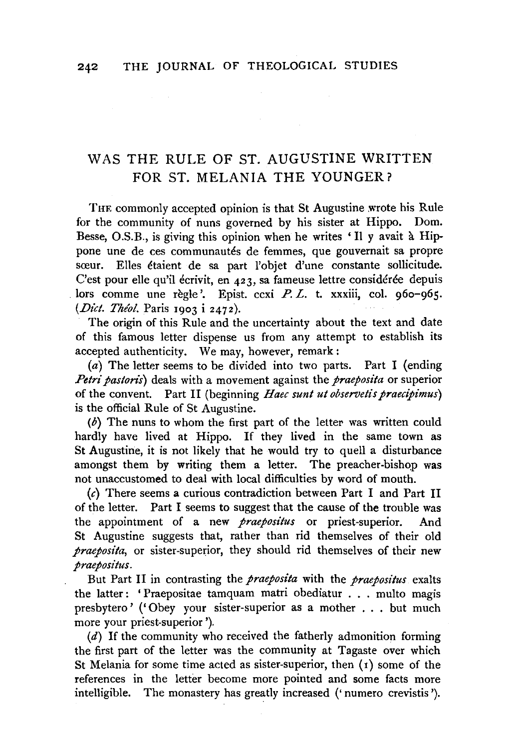## WAS THE RULE OF ST. AUGUSTINE WRITTEN FOR ST. MELANIA THE YOUNGER?

THE commonly accepted opinion is that St Augustine wrote his Rule for the community of nuns governed by his sister at Hippo. Dom. Besse, O.S.B., is giving this opinion when he writes 'Il y avait à Hippone une de ces communautés de femmes, que gouvernait sa propre sœur. Elles étaient de sa part l'objet d'une constante sollicitude. C'est pour elle qu'il écrivit, en  $423$ , sa fameuse lettre considérée depuis lors comme une règle'. Epist. ccxi P. L. t. xxxiii, col. 960-965. *(Dict. Théol. Paris 1903 i 2472).* 

The origin of this Rule and the uncertainty about the text and date of this famous letter dispense us from any attempt to establish its accepted authenticity. We may, however, remark:

 $(a)$  The letter seems to be divided into two parts. Part I (ending *Petri pastoris*) deals with a movement against the *praeposita* or superior of the convent. Part II (beginning *Haec sunt ut observetis praecipimus*) is the official Rule of St Augustine.

 $(b)$  The nuns to whom the first part of the letter was written could hardly have lived at Hippo. If they lived in the same town as St Augustine, it is not likely that he would try to quell a disturbance amongst them by writing them a letter. The preacher-bishop was not unaccustomed to deal with local difficulties by word of mouth.

(c) There seems a curious contradiction between Part I and Part II of the letter. Part I seems to suggest that the cause of the trouble was the appointment of a new *praepositus* or priest-superior. And St Augustine suggests that, rather than rid themselves of their old *praeposita,* or sister-superior, they should rid themselves of their new *praepositus.* 

But Part II in contrasting the *praeposita* with the *praepositus* exalts the latter : ' Praepositae tamquam matri obediatur . . . multo magis presbytero' ('Obey your sister-superior as a mother ... but much more your priest-superior').

 $(d)$  If the community who received the fatherly admonition forming the first part of the letter was the community at Tagaste over which St Melania for some time acted as sister-superior, then  $(1)$  some of the references in the letter become more pointed and some facts more intelligible. The monastery has greatly increased (' numero crevistis ').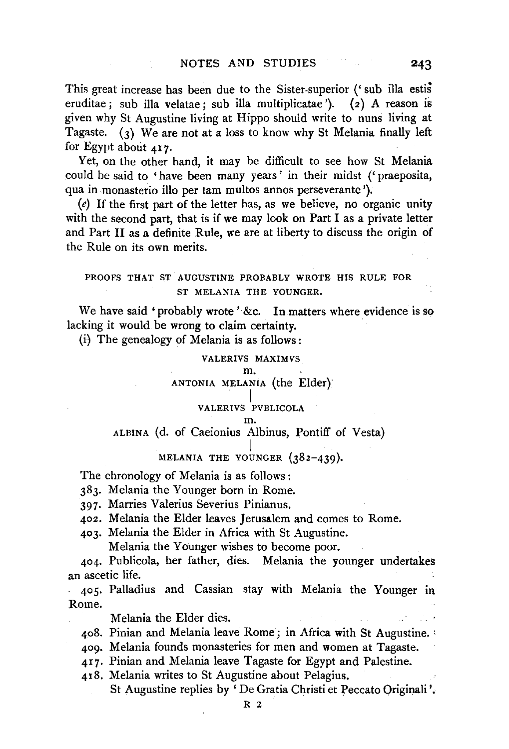This great increase has been due to the Sister-superior ('sub ilia estis eruditae; sub ilia velatae; sub ilia multiplicatae '). (2) A reason is given why St Augustine living at Hippo should write to nuns living at Tagaste. (3) We are not at a loss to know why St Melania finally left for Egypt about 417.

Yet, on the other hand, it may be difficult to see how St Melania could be said to 'have been many years' in their midst (' praeposita, qua in monasterio illo per tam multos annos perseverante ').

(e) If the first part of the letter has, as we believe, no organic unity with the second part, that is if we may look on Part I as a private letter and Part II as a definite Rule, we are at liberty to discuss the origin of the Rule on its own merits.

### PROOFS THAT ST AUGUSTINE PROBABLY WROTE HIS RULE FOR ST MELANIA THE YOUNGER.

We have said 'probably wrote' &c. In matters where evidence is so lacking it would be wrong to claim certainty.

(i) The genealogy of Melania is as follows:

### VALERIVS MAXIMVS

m.

ANTONIA MELANIA (the Elder)'

# |<br>|<br>|VALERIVS PVBLICOLA

#### m.

### ALBINA (d. of Caeionius Albinus, Pontiff of Vesta)

|<br>MELANIA THE YOUNGER (382-439).

The chronology of Melania is as follows :

383. Melania the Younger born in Rome.

397· Marries Valerius Severius Pinianus.

402. Melania the Elder leaves Jerusalem and comes to Rome.

403. Melania the Elder in Africa with St Augustine.

Melania the Younger wishes to become poor.

404. Publicola, her father, dies. Melania the younger undertakes an ascetic life.

405. Palladius and Cassian stay with Melania the Younger in Rome.

Melania the Elder dies.

408. Pinian and Melania leave Rome; in Africa with St Augustine. :

409. Melania founds monasteries for men and women at Tagaste.

417. Pinian and Melania leave Tagaste for Egypt and Palestine.

418. Melania writes to St Augustine about Pelagius.

St Augustine replies by ' De Gratia Christi et Peccato Qriginali '.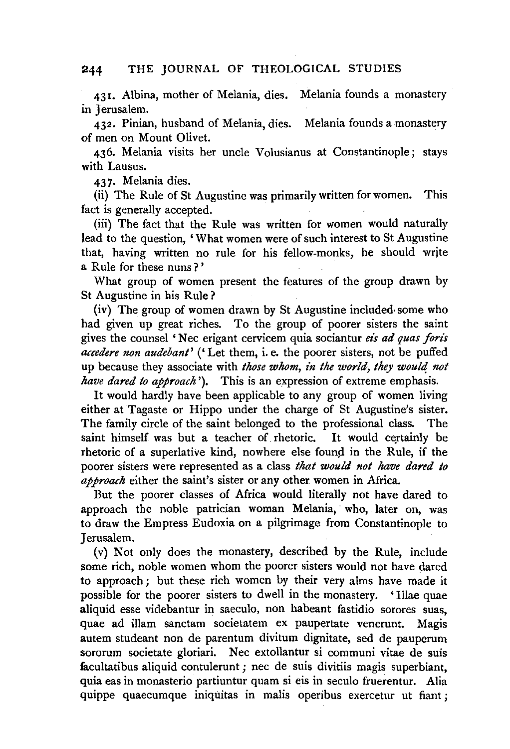### **244** THE JOURNAL OF THEOLOGICAL STUDIES

431. Albina, mother of Melania, dies. Melania founds a monastery in Jerusalem.

432. Pinian, husband of Melania, dies. Melania founds a monastery of men on Mount Olivet.

436. Melania visits her uncle Volusianus at Constantinople; stays with Lausus.

437· Melania dies.

(ii) The Rule of St Augustine was primarily written for women. This fact is generally accepted.

(iii) The fact that the Rule was written for women would naturally lead to the question, 'What women were of such interest to St Augustine that, having written no rule for his fellow-monks, he should write a Rule for these nuns?'

What group of women present the features of the group drawn by St Augustine in his Rule?

(iv) The group of women drawn by St Augustine included· some who had given up great riches. To the group of poorer sisters the saint gives the counsel 'Nec erigant cervicem quia sociantur *eis ad quas foris accedere non audebant'* ('Let them, i.e. the poorer sisters, not be puffed up because they associate with *those whom, in the world, they would not have dared to approach').* This is an expression of extreme emphasis.

It would hardly have been applicable to any group of women living either at Tagaste or Hippo under the charge of St Augustine's sister. The family circle of the saint belonged to the professional class. The saint himself was but a teacher of rhetoric. It would certainly be rhetoric of a superlative kind, nowhere else found in the Rule, if the poorer sisters were represented as a class *that would not have dared to approach* either the saint's sister or any other women in Africa.

But the poorer classes of Africa would literally not have dared to approach the noble patrician woman Melania, who, later on, was to draw the Empress Eudoxia on a pilgrimage from Constantinople to Jerusalem.

(v) Not only does the monastery, described by the Rule, include some rich, noble women whom the poorer sisters would not have dared to approach; but these rich women by their very alms have made it possible for the poorer sisters to dwell in the monastery. 'Illae quae aliquid esse videbantur in saeculo, non habeant fastidio sorores suas, quae ad illam sanctam societatem ex paupertate venerunt. Magis autem studeant non de parentum divitum dignitate, sed de pauperum sororum societate gloriari. Nee extollantur si communi vitae de suis facultatibus aliquid contulerunt; nee de suis divitiis magis superbiant, quia eas in monasterio partiuntur quam si eis in seculo fruerentur. Alia quippe quaecumque iniquitas in malis operibus exercetur ut fiant;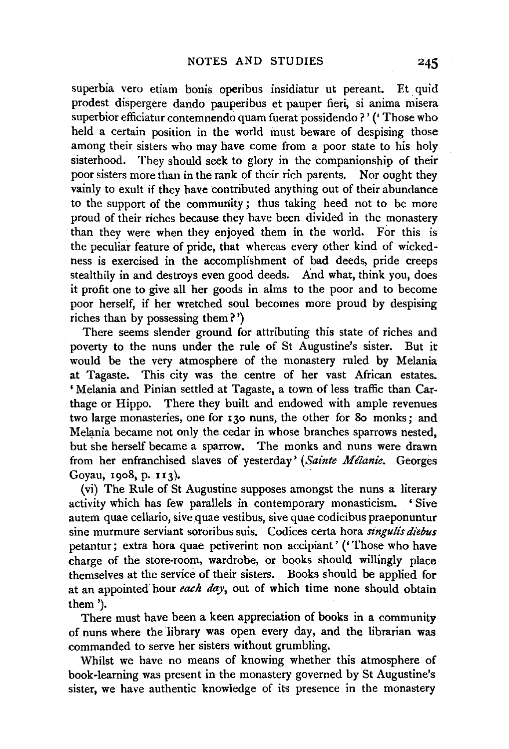superbia vero etiam bonis operibus insidiatur ut pereant. Et quid prodest dispergere dando pauperibus et pauper fieri, si anima misera superbior efficiatur contemnendo quam fuerat possidendo?' ('Those who held a certain position in the world must beware of despising those among their sisters who may have come from a poor state to his holy sisterhood. They should seek to glory in the companionship of their poor sisters more than in the rank of their rich parents. Nor ought they vainly to exult if they have contributed anything out of their abundance to the support of the community ; thus taking heed not to be more proud of their riches because they have been divided in the monastery than they were when they enjoyed them in the world. For this is the peculiar feature of pride, that whereas every other kind of wickedness is exercised in the accomplishment of bad deeds, pride creeps stealthily in and destroys even good deeds. And what, think you, does it profit one to give all her goods in alms to the poor and to become poor herself, if her wretched soul becomes more proud by despising riches than by possessing them?')

There seems slender ground for attributing this state of riches and poverty to the nuns under the rule of St Augustine's sister. But it would be the very atmosphere of the monastery ruled by Melania at Tagaste. This city was the centre of her vast African estates. 'Melania and Pinian settled at Tagaste, a town of less traffic than Carthage or Hippo. There they built and endowed with ample revenues two large monasteries, one for 130 nuns, the other for 8o monks; and Melania became not only the cedar in whose branches sparrows nested, but she herself became a sparrow. The monks and nuns were drawn from her enfranchised slaves of yesterday' *(Sainte Melanie.* Georges Goyau, xgo8, p. 113).

(vi) The Rule of St Augustine supposes amongst the nuns a literary activity which has few parallels in contemporary monasticism. ' Sive autem quae cellario, sive quae vestibus, sive quae codicibus praeponuntur sine murmure serviant sororibus suis. Codices certa hora *singulis diebus*  petantur; extra hora quae petiverint non accipiant' ('Those who have charge of the store-room, wardrobe, or books should willingly place themselves at the service of their sisters. Books should be applied for at an appointed hour *each day*, out of which time none should obtain them').

There must have been a keen appreciation of books. in a community of nuns where the library was open every day, and the librarian was commanded to serve her sisters without grumbling.

Whilst we have no means of knowing whether this atmosphere of book-learning was present in the monastery governed by St Augustine's sister, we have authentic knowledge of its presence in the monastery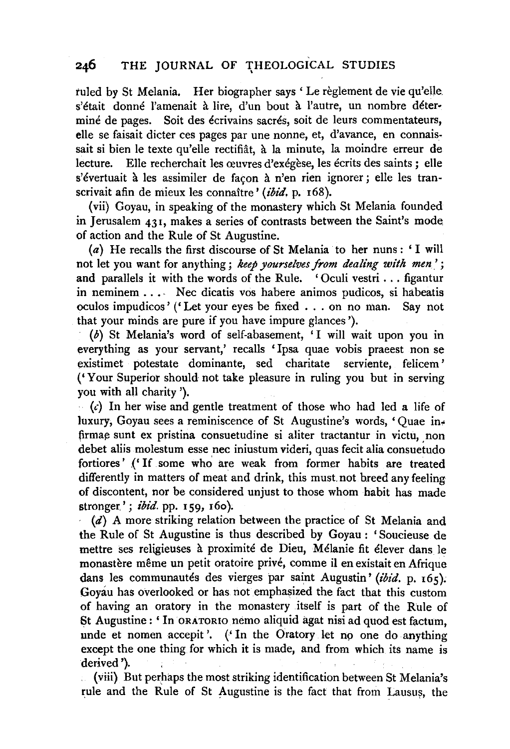ruled by St Melania. Her biographer says 'Le règlement de vie qu'elle. s'était donné l'amenait à lire, d'un bout à l'autre, un nombre déterminé de pages. Soit des écrivains sacrés, soit de leurs commentateurs, elle se faisait dieter ces pages par une nonne, et, d'avance, en connaissait si bien le texte qu'elle rectifiat, a la minute, la moindre erreur de lecture. Elle recherchait les œuvres d'exégèse, les écrits des saints ; elle s'évertuait à les assimiler de façon à n'en rien ignorer; elle les transcrivait afin de mieux les connaître' (ibid, p. 168).

(vii) Goyau, in speaking of the monastery which St Melania founded in Jerusalem 431, makes a series of contrasts between the Saint's mode of action and the Rule of St Augustine.

(a) He recalls the first discourse of St Melania to her nuns : ' I will not let you want for anything ; *keep yourselves from dealing witk men* ' ; and parallels it with the words of the Rule. ' Oculi vestri ... figantur in neminem ... - Nee dicatis vos habere animos pudicos, si habeatis oculos impudicos' ('Let your eyes be fixed ... on no man. Say not that your minds are pure if you have impure glances ').

 $(b)$  St Melania's word of self-abasement, 'I will wait upon you in everything as your servant,' recalls 'Ipsa quae vobis praeest non se existimet potestate dominante, sed charitate serviente, felicem' ('Your Superior should not take pleasure in ruling you but in serving you with all charity ').

 $(c)$  In her wise and gentle treatment of those who had led a life of luxury, Goyau sees a reminiscence of St Augustine's words, 'Quae in• firmae sunt ex pristina consuetudine si aliter tractantur in victu, non debet aliis molestum esse nee iniustum videri, quas fecit alia consuetudo fortiores' .<sup>('</sup>If some who are weak from former habits are treated differently in matters of meat and drink, this must. not breed any feeling of discontent, nor be considered unjust to those whom habit has made stronger';  $ibid$ . pp. 159, 160).

 $(d)$  A more striking relation between the practice of St Melania and the Rule of St Augustine is thus described by Goyau : 'Soucieuse de mettre ses religieuses a proximite de Dieu, Melanie fit elever dans le monastère même un petit oratoire privé, comme il en existait en Afrique dans les communautés des vierges par saint Augustin' (ibid. p.  $165$ ); Goyau has overlooked or has not emphasized the fact that this custom of having an oratory in the monastery itself is part of the Rule of St Augustine: ' In ORATORIO nemo aliquid agat nisi ad quod est factum, unde et nomen accepit'. ('In the Oratory let no one do anything except the one thing for which it is made, and from which its name is derived').

 $\therefore$  (viii) But perhaps the most striking identification between St Melania's rule and the Rule of St Augustine is the fact that from Lausus, the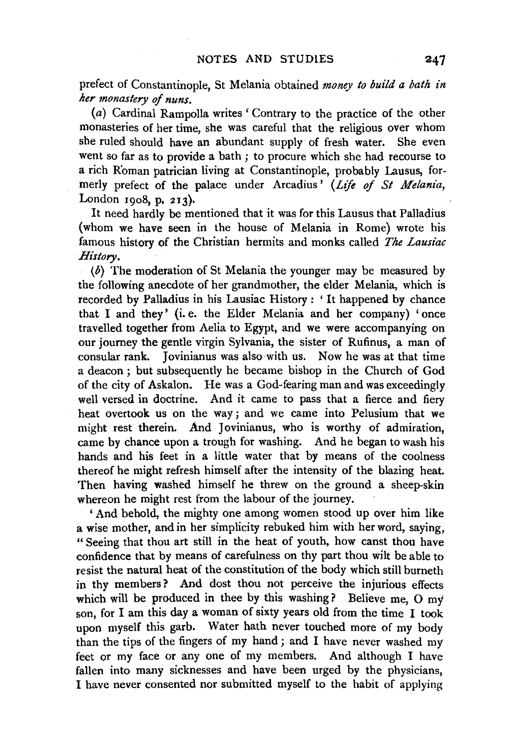prefect of Constantinople, St Melania obtained *money to build a bath in her monastery of nuns.* 

(a) Cardinal Rampolla writes' Contrary to the practice of the other monasteries of her time, she was careful that the religious over whom she ruled should have an abundant supply of fresh water. She even went so far as to provide a bath ; to procure which she had recourse to a rich Koman patrician living at Constantinople, probably Lausus, formerly prefect of the palace under Arcadius' *(Life of St Melania,*  London 1908, p. 213).

It need hardly be mentioned that it was for this Lausus that Palladius (whom we have seen in the house of Melania in Rome) wrote his famous history of the Christian hermits and monks called *The Lausiac History.* 

 $(b)$  The moderation of St Melania the younger may be measured by the following anecdote of her grandmother, the elder Melania, which is recorded by Palladius in his Lausiac History : ' It happened by chance that I and they' (i.e. the Elder Melania and her company) 'once travelled together from Aelia to Egypt, and we were accompanying on our journey the gentle virgin Sylvania, the sister of Rufinus, a man of consular rank. Jovinianus was also with us. Now he was at that time a deacon ; but subsequently he became bishop in the Church of God of the city of Askalon. He was a God-fearing man and was exceedingly well versed in doctrine. And it came to pass that a fierce and fiery heat overtook us on the way; and we came into Pelusium that we might rest therein. And Jovinianus, who is worthy of admiration, came by chance upon a trough for washing. And he began to wash his hands and his feet in a little water that by means of the coolness thereof he might refresh himself after the intensity of the blazing heat. Then having washed himself he threw on the ground a sheep-skin whereon he might rest from the labour of the journey.

'And behold, the mighty one among women stood up over him like a wise mother, and in her simplicity rebuked him with her word, saying, "Seeing that thou art still in the heat of youth, how canst thou have confidence that by means of carefulness on thy part thou wilt be able to resist the natural heat of the constitution of the body which still burneth in thy members? And dost thou not perceive the injurious effects which will be produced in thee by this washing? Believe me, O my son, for I am this day a woman of sixty years old from the time I took upon myself this garb. Water hath never touched more of my body than the tips of the fingers of my hand; and I have never washed my feet or my face or any one of my members. And although I have fallen into many sicknesses and have been urged by the physicians, I have never consented nor submitted myself to the habit of applying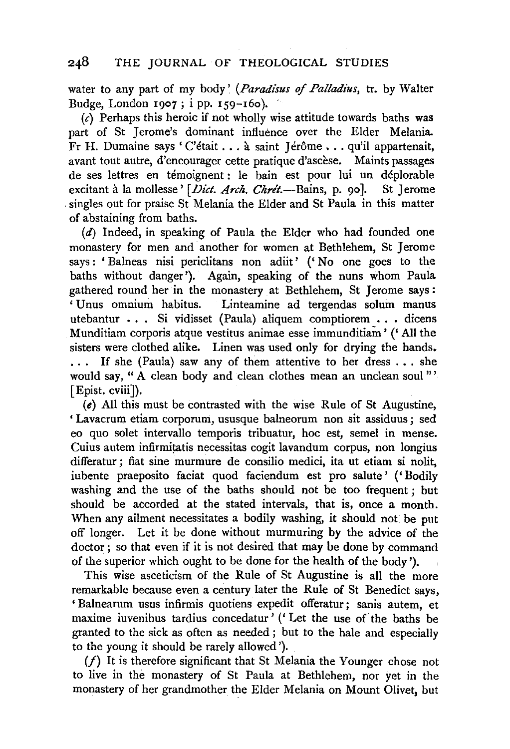water to any part of my body' (Paradisus of Palladius, tr. by Walter Budge, London  $1907$ ; i pp.  $159-160$ ).

 $(c)$  Perhaps this heroic if not wholly wise attitude towards baths was part of St Jerome's dominant influence over the Elder Melania. Fr H. Dumaine says 'C'était . . . à saint Jérôme . . . qu'il appartenait, avant tout autre, d'encourager cette pratique d'ascèse. Maints passages de ses lettres en temoignent : le bain est pour lui un deplorable excitant à la mollesse' [*Dict. Arch. Chrét.*--Bains, p. 90]. St Jerome . singles out for praise St Melania the Elder and St Paula in this matter of abstaining from baths.

(d) Indeed, in speaking of Paula the Elder who had founded one monastery for men and another for women at Bethlehem, St Jerome says: 'Balneas nisi periclitans non adiit' ('No one goes to the baths without danger'). Again, speaking of the nuns whom Paula gathered round her in the monastery at Bethlehem, St Jerome says: 'Unus omnium habitus. Linteamine ad tergendas solum manus utebantur . . . Si vidisset (Paula) aliquem comptiorem . . . dicens Munditiam corporis atque vestitus animae esse immunditiam' ('All the sisters were clothed alike. Linen was used only for drying the hands.  $\ldots$  If she (Paula) saw any of them attentive to her dress  $\ldots$  she would say, "A clean body and clean clothes mean an unclean soul"' [Epist. cviii]).

(e) All this must be contrasted with the wise Rule of St Augustine, 'Lavacrum etiam corporum, ususque balneorum non sit assiduus; sed eo quo solet intervallo temporis tribuatur, hoc est, semel in mense. Cuius autem infirmitatis necessitas cogit lavandum corpus, non longius differatur ; fiat sine murmure de consilio medici, ita ut etiam si nolit, iubente praeposito faciat quod faciendum est pro salute' ('Bodily washing and the use of the baths should not be too frequent ; but should be accorded at the stated intervals, that is, once a month. When any ailment necessitates a bodily washing, it should not be put off longer. Let it be done without murmuring by the advice of the doctor ; so that even if it is not desired that may be done by command of the superior which ought to be done for the health of the body').

This wise asceticism of the Rule of St Augustine is all the more remarkable because even a century later the Rule of St Benedict says, ' Balnearum usus infirmis quotiens expedit offeratur; sanis autem, et maxime iuvenibus tardius concedatur' ('Let the use of the baths be granted to the sick as often as needed ; but to the hale and especially to the young it should be rarely allowed').

 $(f)$  It is therefore significant that St Melania the Younger chose not to live in the monastery of St Paula at Bethlehem, nor yet in the monastery of her grandmother the Elder Melania on Mount Olivet, but